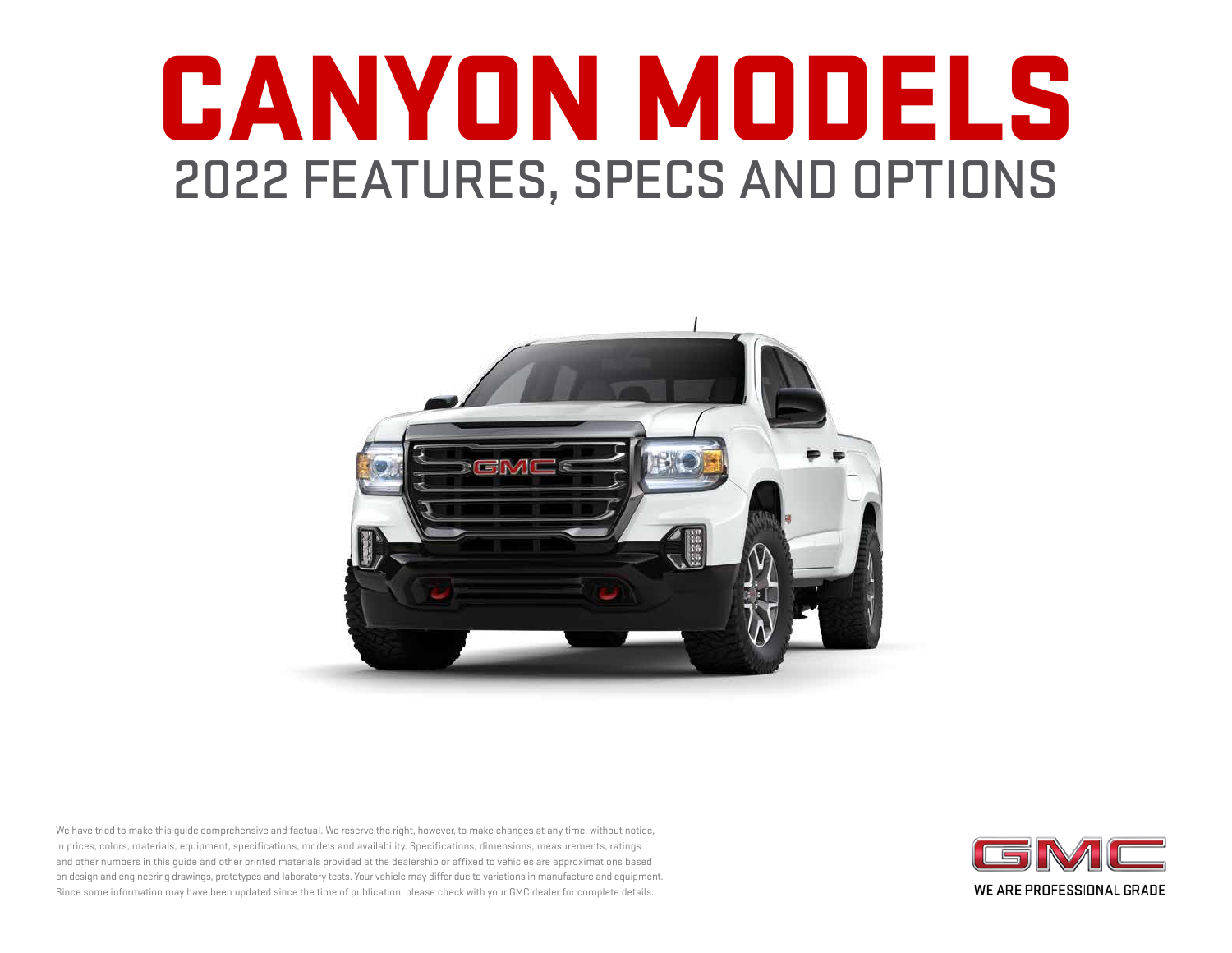# CANYON MODELS 2022 FEATURES, SPECS AND OPTIONS



We have tried to make this guide comprehensive and factual. We reserve the right, however, to make changes at any time, without notice, in prices, colors, materials, equipment, specifications, models and availability. Specifications, dimensions, measurements, ratings and other numbers in this guide and other printed materials provided at the dealership or affixed to vehicles are approximations based on design and engineering drawings, prototypes and laboratory tests. Your vehicle may differ due to variations in manufacture and equipment. Since some information may have been updated since the time of publication, please check with your GMC dealer for complete details.

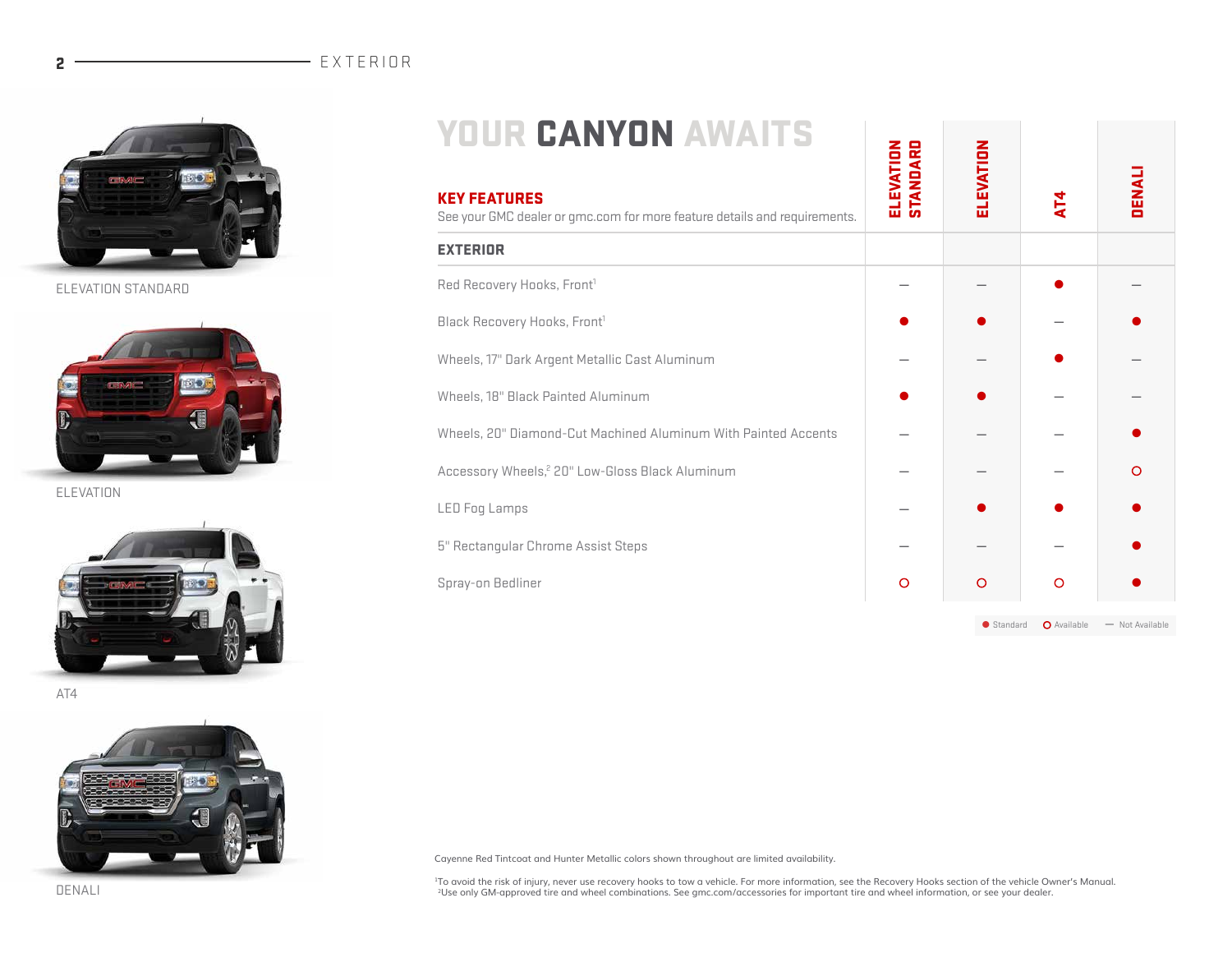

ELEVATION STANDARD



ELEVATION



AT4



|--|--|

| <b>YOUR CANYON AWAITS</b><br><b>KEY FEATURES</b><br>See your GMC dealer or gmc.com for more feature details and requirements. | <b>ELEVATION</b><br>STANDARD | ELEVATION | $\mathbf{A}$ | <b>DENALI</b> |
|-------------------------------------------------------------------------------------------------------------------------------|------------------------------|-----------|--------------|---------------|
| <b>EXTERIOR</b>                                                                                                               |                              |           |              |               |
| Red Recovery Hooks, Front <sup>1</sup>                                                                                        |                              |           |              |               |
| Black Recovery Hooks, Front <sup>1</sup>                                                                                      |                              |           |              |               |
| Wheels, 17" Dark Argent Metallic Cast Aluminum                                                                                |                              |           |              |               |
| Wheels, 18" Black Painted Aluminum                                                                                            |                              |           |              |               |
| Wheels, 20" Diamond-Cut Machined Aluminum With Painted Accents                                                                |                              |           |              |               |
| Accessory Wheels, <sup>2</sup> 20" Low-Gloss Black Aluminum                                                                   |                              |           |              | റ             |
| <b>LED Fog Lamps</b>                                                                                                          |                              |           |              |               |
| 5" Rectangular Chrome Assist Steps                                                                                            |                              |           |              |               |
| Spray-on Bedliner                                                                                                             | O                            | O         | O            |               |

● Standard ● Available → Not Available

Cayenne Red Tintcoat and Hunter Metallic colors shown throughout are limited availability.

<sup>1</sup>To avoid the risk of injury, never use recovery hooks to tow a vehicle. For more information, see the Recovery Hooks section of the vehicle Owner's Manual.<br><sup>2</sup>Use only GM-approved tire and wheel combinations. See gmc.co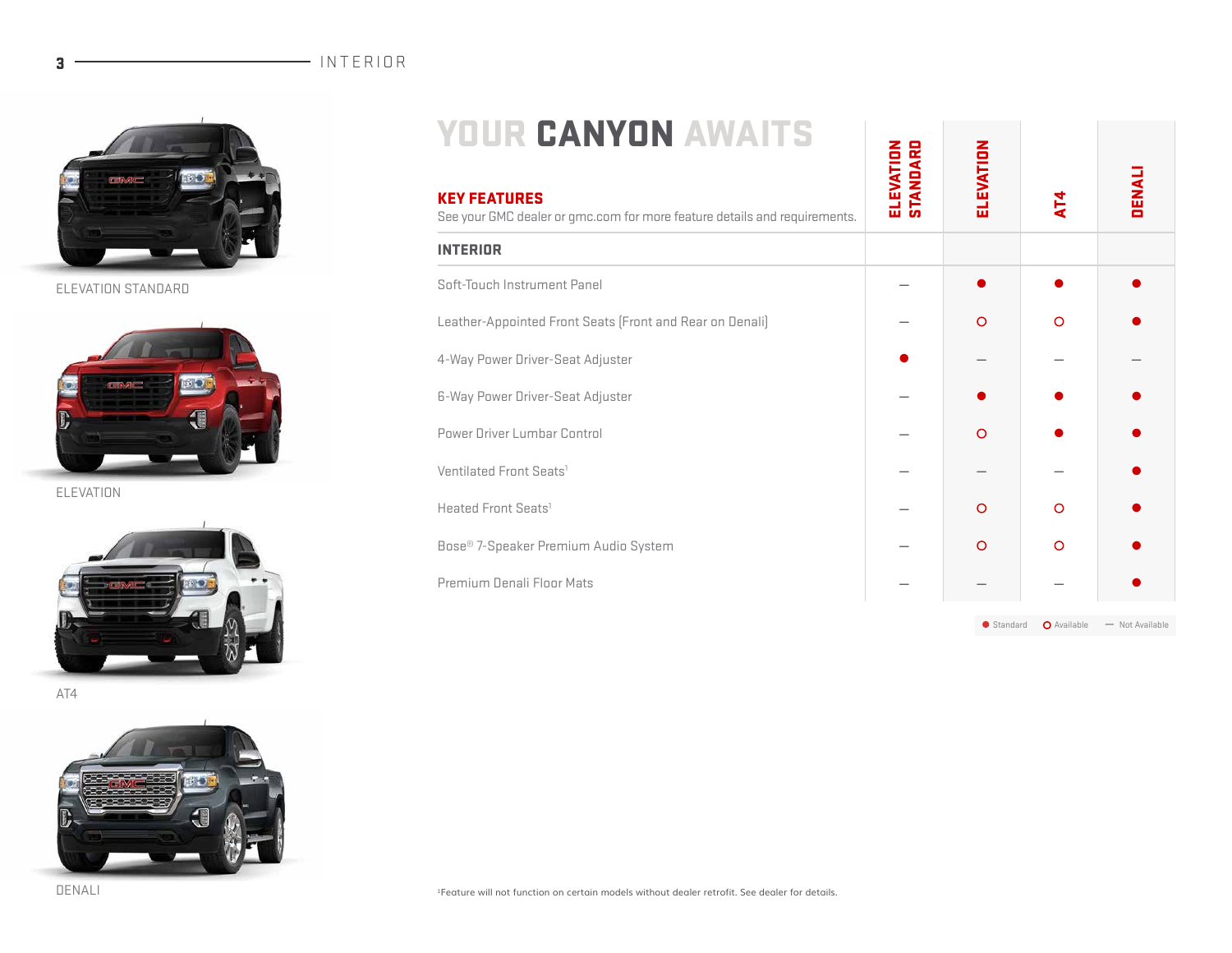

ELEVATION STANDARD



ELEVATION



AT4



| <b>YOUR CANYON AWAITS</b>                                                                        |  |
|--------------------------------------------------------------------------------------------------|--|
| <b>KEY FEATURES</b><br>See your GMC dealer or gmc.com for more feature details and requirements. |  |
| INTERIOR                                                                                         |  |

| Soft-Touch Instrument Panel                              |         |          |  |
|----------------------------------------------------------|---------|----------|--|
| Leather-Appointed Front Seats (Front and Rear on Denali) | $\circ$ | $\Omega$ |  |
| 4-Way Power Driver-Seat Adjuster                         |         |          |  |
| 6-Way Power Driver-Seat Adjuster                         |         |          |  |
| Power Driver Lumbar Control                              | $\circ$ |          |  |
| Ventilated Front Seats <sup>1</sup>                      |         |          |  |
| Heated Front Seats <sup>1</sup>                          | $\circ$ | $\circ$  |  |
| Bose® 7-Speaker Premium Audio System                     | $\circ$ | $\Omega$ |  |
| Premium Denali Floor Mats                                |         |          |  |
|                                                          |         |          |  |

● Standard ● Available → Not Available

ELEVATION

ELEVATION

AT4

DENALI

1Feature will not function on certain models without dealer retrofit. See dealer for details.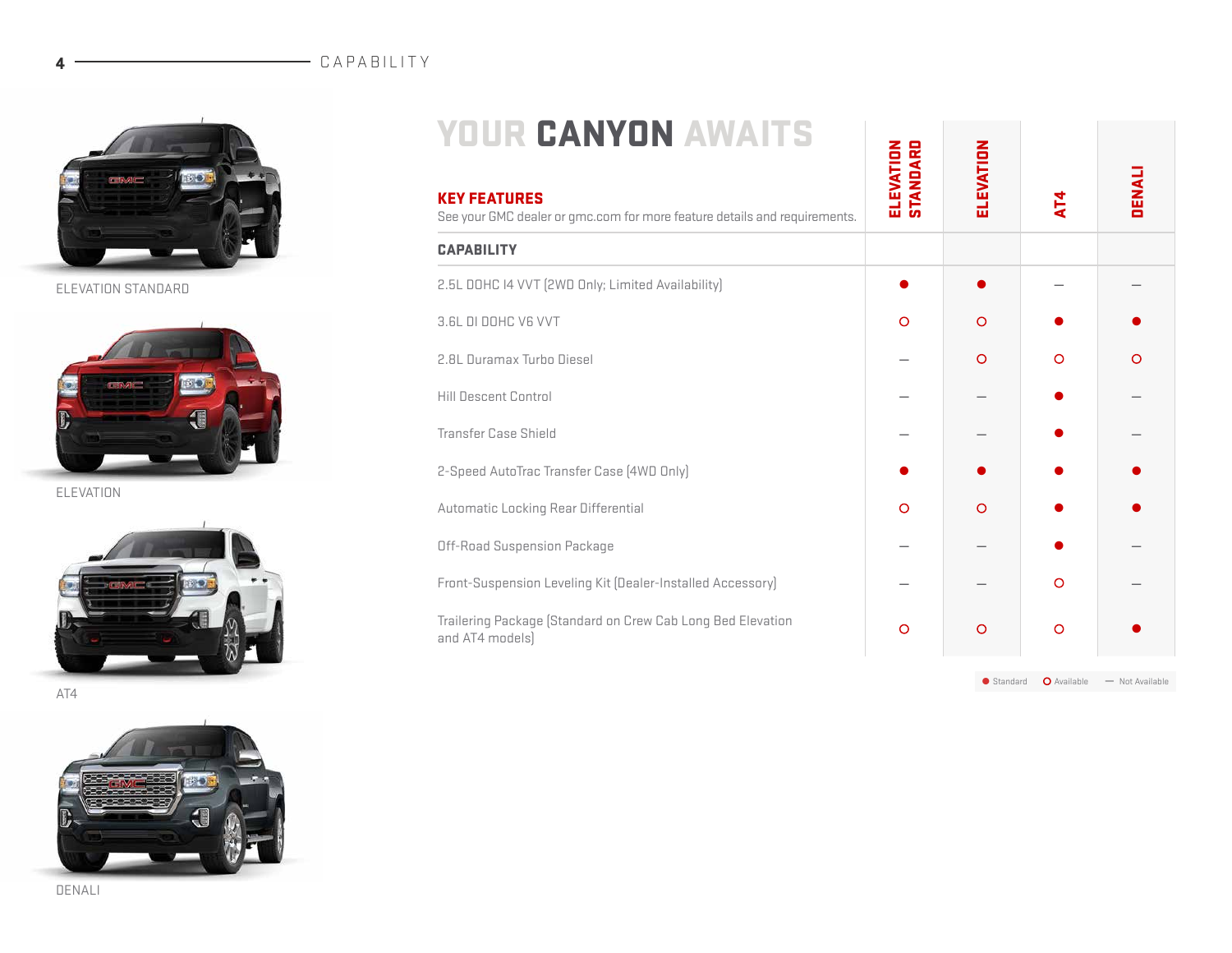### 4 CAPABILITY



ELEVATION STANDARD



ELEVATION



AT4



| <b>YOUR CANYON AWAITS</b>                                                                        |                              |           |             |                 |
|--------------------------------------------------------------------------------------------------|------------------------------|-----------|-------------|-----------------|
| <b>KEY FEATURES</b><br>See your GMC dealer or qmc.com for more feature details and requirements. | <b>ELEVATION</b><br>STANDARD | ELEVATION | AT4         | <b>DENALI</b>   |
| <b>CAPABILITY</b>                                                                                |                              |           |             |                 |
| 2.5L DOHC I4 VVT (2WD Only; Limited Availability)                                                |                              |           |             |                 |
| 3.6L DI DOHC V6 VVT                                                                              | $\circ$                      | $\circ$   |             |                 |
| 2.8L Duramax Turbo Diesel                                                                        |                              | $\circ$   | $\circ$     | $\circ$         |
| <b>Hill Descent Control</b>                                                                      |                              |           |             |                 |
| <b>Transfer Case Shield</b>                                                                      |                              |           |             |                 |
| 2-Speed AutoTrac Transfer Case (4WD Only)                                                        |                              |           |             |                 |
| Automatic Locking Rear Differential                                                              | $\circ$                      | $\circ$   |             |                 |
| Off-Road Suspension Package                                                                      |                              |           |             |                 |
| Front-Suspension Leveling Kit (Dealer-Installed Accessory)                                       |                              |           | $\circ$     |                 |
| Trailering Package (Standard on Crew Cab Long Bed Elevation<br>and AT4 models)                   | $\circ$                      | $\circ$   | $\circ$     |                 |
|                                                                                                  |                              | Standard  | O Available | - Not Available |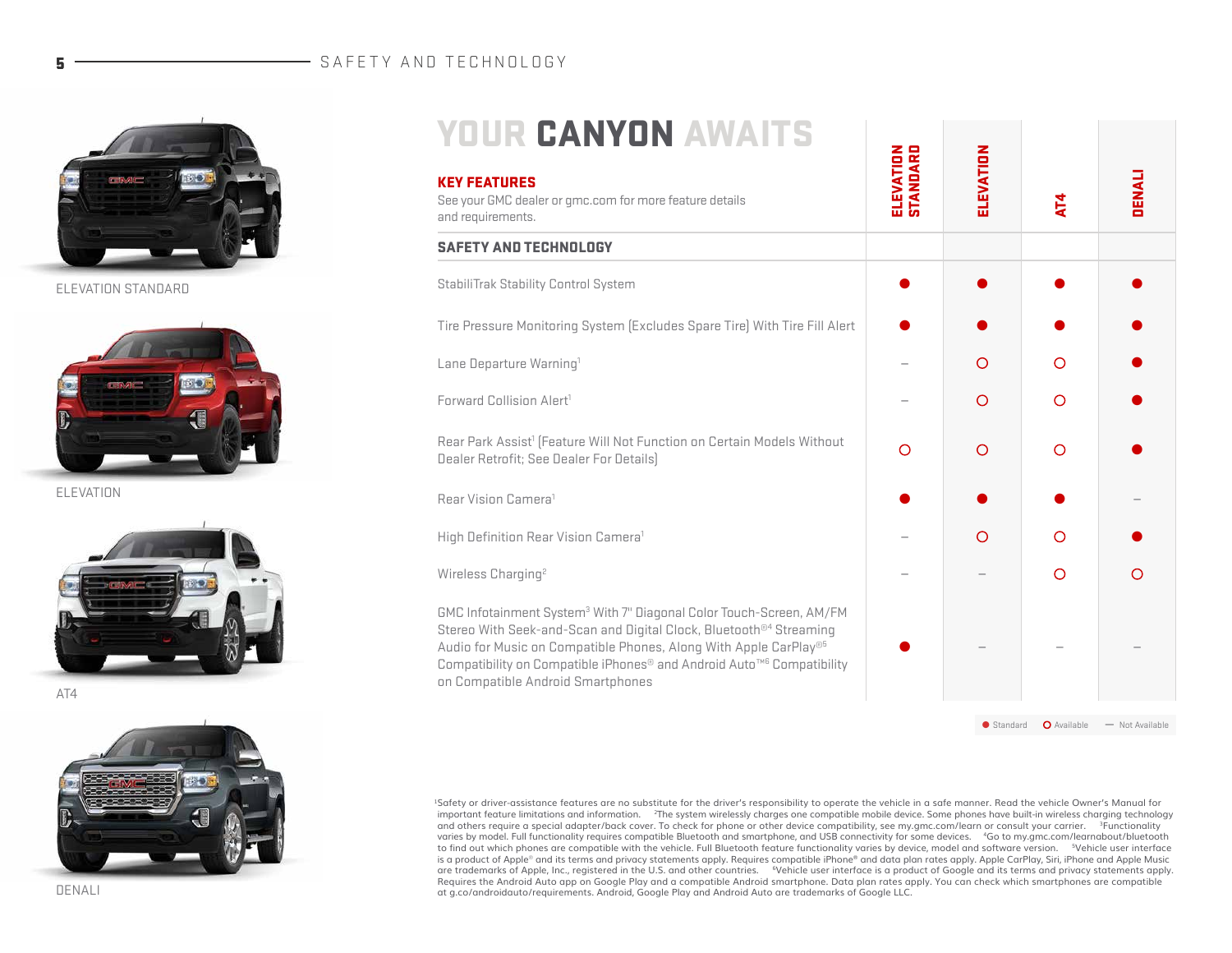#### 5 - SAFETY AND TECHNOLOGY



ELEVATION STANDARD



ELEVATION



AT4



| <b>YOUR CANYON AWAITS</b>                                                                                                                                                                                                                                                                                                                                       |                              |            |                |                 |
|-----------------------------------------------------------------------------------------------------------------------------------------------------------------------------------------------------------------------------------------------------------------------------------------------------------------------------------------------------------------|------------------------------|------------|----------------|-----------------|
| <b>KEY FEATURES</b><br>See your GMC dealer or qmc.com for more feature details<br>and requirements.                                                                                                                                                                                                                                                             | <b>ELEVATION</b><br>STANDARD | ELEVATION  | $\overline{4}$ | <b>DENALI</b>   |
| <b>SAFETY AND TECHNOLOGY</b>                                                                                                                                                                                                                                                                                                                                    |                              |            |                |                 |
| StabiliTrak Stability Control System                                                                                                                                                                                                                                                                                                                            |                              |            |                |                 |
| Tire Pressure Monitoring System (Excludes Spare Tire) With Tire Fill Alert                                                                                                                                                                                                                                                                                      |                              |            |                |                 |
| Lane Departure Warning <sup>1</sup>                                                                                                                                                                                                                                                                                                                             |                              | $\Omega$   | $\Omega$       |                 |
| Forward Collision Alert <sup>1</sup>                                                                                                                                                                                                                                                                                                                            |                              | O          | $\circ$        |                 |
| Rear Park Assist <sup>1</sup> [Feature Will Not Function on Certain Models Without<br>Dealer Retrofit; See Dealer For Details)                                                                                                                                                                                                                                  | $\Omega$                     | $\bigcirc$ | O              |                 |
| Rear Vision Camera <sup>1</sup>                                                                                                                                                                                                                                                                                                                                 |                              |            |                |                 |
| High Definition Rear Vision Camera <sup>1</sup>                                                                                                                                                                                                                                                                                                                 |                              | $\Omega$   | O              |                 |
| Wireless Charging <sup>2</sup>                                                                                                                                                                                                                                                                                                                                  |                              |            | $\Omega$       | ∩               |
| GMC Infotainment System <sup>3</sup> With 7" Diagonal Color Touch-Screen, AM/FM<br>Stereo With Seek-and-Scan and Digital Clock, Bluetooth <sup>®4</sup> Streaming<br>Audio for Music on Compatible Phones, Along With Apple CarPlay®5<br>Compatibility on Compatible iPhones® and Android Auto <sup>™6</sup> Compatibility<br>on Compatible Android Smartphones |                              |            |                |                 |
|                                                                                                                                                                                                                                                                                                                                                                 |                              | Standard   | O Available    | - Not Available |

1Safety or driver-assistance features are no substitute for the driver's responsibility to operate the vehicle in a safe manner. Read the vehicle Owner's Manual for important feature limitations and information. 2The system wirelessly charges one compatible mobile device. Some phones have built-in wireless charging technology and others require a special adapter/back cover. To check for phone or other device compatibility, see my.gmc.com/learn or consult your carrier. <sup>3</sup>Functionality varies by model. Full functionality requires compatible Bluetooth and smartphone, and USB connectivity for some devices. 4Go to my.gmc.com/learnabout/bluetooth to find out which phones are compatible with the vehicle. Full Bluetooth feature functionality varies by device, model and software version. "Vehicle user interface<br>is a product of Apple® and its terms and privacy statemen are trademarks of Apple, Inc., registered in the U.S. and other countries. "Vehicle user interface is a product of Google and its terms and privacy statements apply.<br>Requires the Android Auto app on Google Play and a compa at g.co/androidauto/requirements. Android, Google Play and Android Auto are trademarks of Google LLC.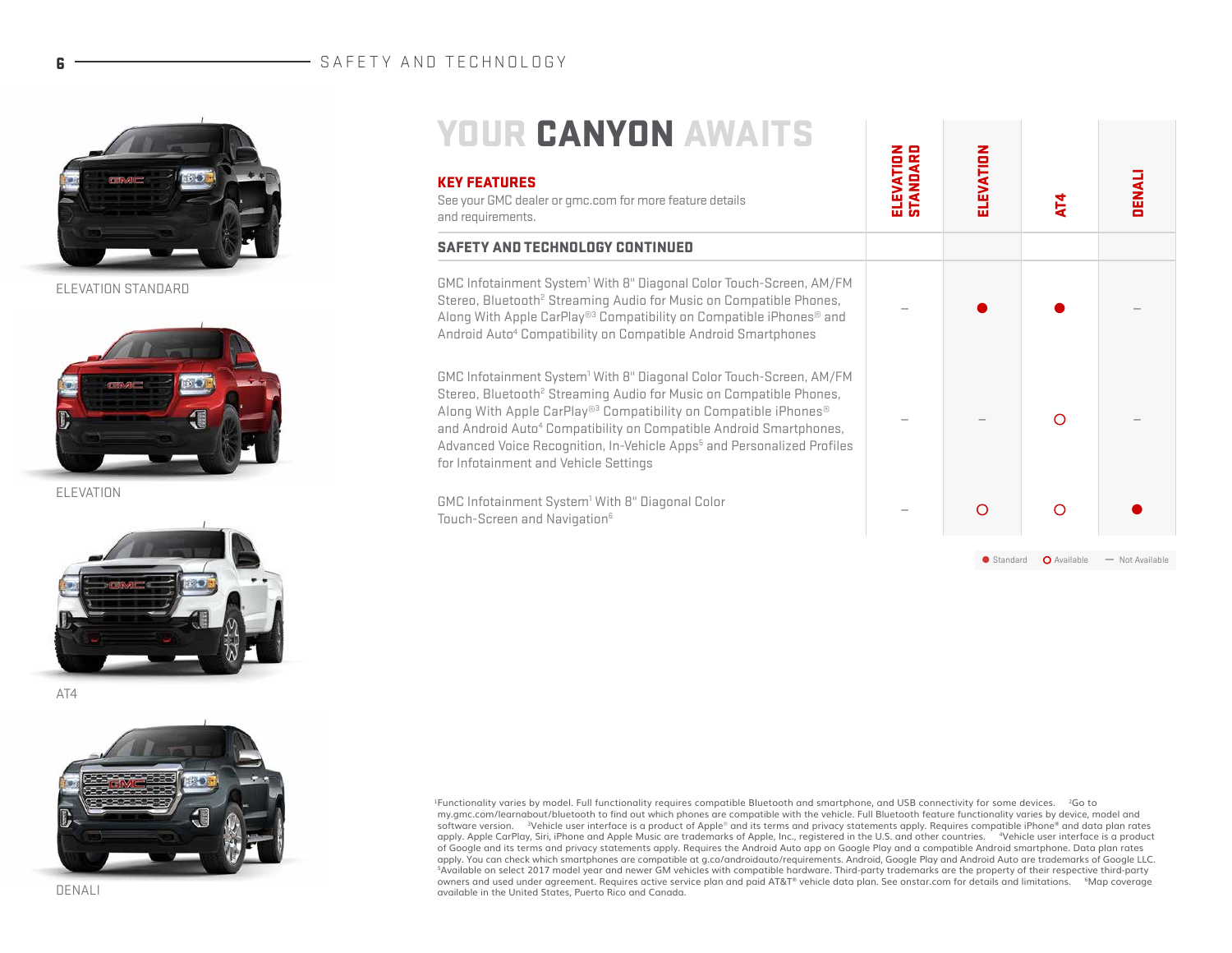#### 6 - SAFETY AND TECHNOLOGY



ELEVATION STANDARD



ELEVATION



AT4



| <b>YOUR CANYON AWAITS</b><br><b>KEY FEATURES</b><br>See your GMC dealer or qmc.com for more feature details<br>and requirements.                                                                                                                                                                                                                                                                                                                                              | <b>ELEVATION</b><br>STANDARD | ELEVATION | <b>AT4</b>  | <b>DENALI</b>   |
|-------------------------------------------------------------------------------------------------------------------------------------------------------------------------------------------------------------------------------------------------------------------------------------------------------------------------------------------------------------------------------------------------------------------------------------------------------------------------------|------------------------------|-----------|-------------|-----------------|
| <b>SAFETY AND TECHNOLOGY CONTINUED</b>                                                                                                                                                                                                                                                                                                                                                                                                                                        |                              |           |             |                 |
| GMC Infotainment System <sup>1</sup> With 8" Diagonal Color Touch-Screen, AM/FM<br>Stereo, Bluetooth <sup>2</sup> Streaming Audio for Music on Compatible Phones,<br>Along With Apple CarPlay <sup>®3</sup> Compatibility on Compatible iPhones <sup>®</sup> and<br>Android Auto <sup>4</sup> Compatibility on Compatible Android Smartphones                                                                                                                                 |                              |           |             |                 |
| GMC Infotainment System <sup>1</sup> With 8" Diagonal Color Touch-Screen, AM/FM<br>Stereo, Bluetooth <sup>2</sup> Streaming Audio for Music on Compatible Phones,<br>Along With Apple CarPlay <sup>®3</sup> Compatibility on Compatible iPhones <sup>®</sup><br>and Android Auto <sup>4</sup> Compatibility on Compatible Android Smartphones,<br>Advanced Voice Recognition, In-Vehicle Apps <sup>5</sup> and Personalized Profiles<br>for Infotainment and Vehicle Settings |                              |           | ∩           |                 |
| GMC Infotainment System <sup>1</sup> With 8" Diagonal Color<br>Touch-Screen and Navigation <sup>6</sup>                                                                                                                                                                                                                                                                                                                                                                       |                              | $\Omega$  | $\Omega$    |                 |
|                                                                                                                                                                                                                                                                                                                                                                                                                                                                               |                              | Standard  | O Available | - Not Available |

1Functionality varies by model. Full functionality requires compatible Bluetooth and smartphone, and USB connectivity for some devices. 2Go to my.gmc.com/learnabout/bluetooth to find out which phones are compatible with the vehicle. Full Bluetooth feature functionality varies by device, model and software version. 3Vehicle user interface is a product of Apple*®* and its terms and privacy statements apply. Requires compatible iPhone® and data plan rates apply. Apple CarPlay, Siri, iPhone and Apple Music are trademarks of Apple, Inc., registered in the U.S. and other countries. 4Vehicle user interface is a product of Google and its terms and privacy statements apply. Requires the Android Auto app on Google Play and a compatible Android smartphone. Data plan rates<br>apply. You can check which smartphones are compatible at g.co/androida <sup>5</sup>Available on select 2017 model year and newer GM vehicles with compatible hardware. Third-party trademarks are the property of their respective third-party<br>owners and used under agreement. Requires active service plan available in the United States, Puerto Rico and Canada.